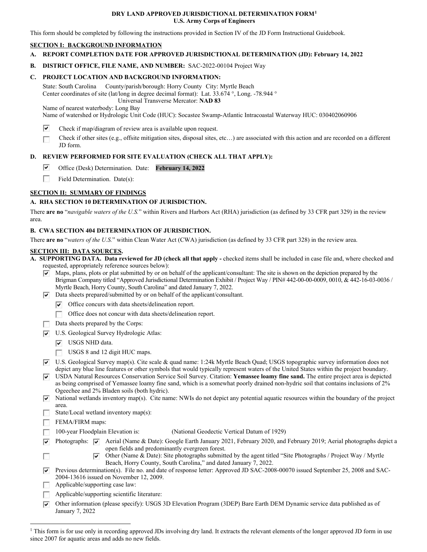#### **DRY LAND APPROVED JURISDICTIONAL DETERMINATION FORM[1](#page-0-0) U.S. Army Corps of Engineers**

This form should be completed by following the instructions provided in Section IV of the JD Form Instructional Guidebook.

### **SECTION I: BACKGROUND INFORMATION**

- **A. REPORT COMPLETION DATE FOR APPROVED JURISDICTIONAL DETERMINATION (JD): February 14, 2022**
- **B. DISTRICT OFFICE, FILE NAME, AND NUMBER:** SAC-2022-00104 Project Way

## **C. PROJECT LOCATION AND BACKGROUND INFORMATION:**

State: South Carolina County/parish/borough: Horry County City: Myrtle Beach Center coordinates of site (lat/long in degree decimal format): Lat. 33.674 °, Long. -78.944 ° Universal Transverse Mercator: **NAD 83**

Name of nearest waterbody: Long Bay

Name of watershed or Hydrologic Unit Code (HUC): Socastee Swamp-Atlantic Intracoastal Waterway HUC: 030402060906

- ⊽ Check if map/diagram of review area is available upon request.
- Check if other sites (e.g., offsite mitigation sites, disposal sites, etc…) are associated with this action and are recorded on a different П JD form.

# **D. REVIEW PERFORMED FOR SITE EVALUATION (CHECK ALL THAT APPLY):**

- ⊽ Office (Desk) Determination. Date: **February 14, 2022**
- $\overline{a}$ Field Determination. Date(s):

# **SECTION II: SUMMARY OF FINDINGS**

## **A. RHA SECTION 10 DETERMINATION OF JURISDICTION.**

There **are no** "*navigable waters of the U.S.*" within Rivers and Harbors Act (RHA) jurisdiction (as defined by 33 CFR part 329) in the review area.

### **B. CWA SECTION 404 DETERMINATION OF JURISDICTION.**

There **are no** "*waters of the U.S.*" within Clean Water Act (CWA) jurisdiction (as defined by 33 CFR part 328) in the review area.

### **SECTION III: DATA SOURCES.**

**A. SUPPORTING DATA. Data reviewed for JD (check all that apply -** checked items shall be included in case file and, where checked and requested, appropriately reference sources below):

- $\triangledown$  Maps, plans, plots or plat submitted by or on behalf of the applicant/consultant: The site is shown on the depiction prepared by the Brigman Company titled "Approved Jurisdictional Determination Exhibit / Project Way / PIN# 442-00-00-0009, 0010, & 442-16-03-0036 / Myrtle Beach, Horry County, South Carolina" and dated January 7, 2022.
- $\nabla$  Data sheets prepared/submitted by or on behalf of the applicant/consultant.
	- Office concurs with data sheets/delineation report.
	- Office does not concur with data sheets/delineation report.
- Data sheets prepared by the Corps:
- U.S. Geological Survey Hydrologic Atlas:
	- **V** USGS NHD data.
	- USGS 8 and 12 digit HUC maps.
- $\nabla$  U.S. Geological Survey map(s). Cite scale & quad name: 1:24k Myrtle Beach Quad; USGS topographic survey information does not depict any blue line features or other symbols that would typically represent waters of the United States within the project boundary.
- USDA Natural Resources Conservation Service Soil Survey. Citation: **Yemassee loamy fine sand.** The entire project area is depicted as being comprised of Yemassee loamy fine sand, which is a somewhat poorly drained non-hydric soil that contains inclusions of 2% Ogeechee and 2% Bladen soils (both hydric).
- $\overline{\triangledown}$  National wetlands inventory map(s). Cite name: NWIs do not depict any potential aquatic resources within the boundary of the project area.
- State/Local wetland inventory map(s):
- FEMA/FIRM maps:

П

- 100-year Floodplain Elevation is:(National Geodectic Vertical Datum of 1929)
- Photographs:  $\overline{\vee}$  Aerial (Name & Date): Google Earth January 2021, February 2020, and February 2019; Aerial photographs depict a ⊽ open fields and predominantly evergreen forest.
	- Other (Name & Date): Site photographs submitted by the agent titled "Site Photographs / Project Way / Myrtle ⊽ Beach, Horry County, South Carolina," and dated January 7, 2022.
- Previous determination(s). File no. and date of response letter: Approved JD SAC-2008-00070 issued September 25, 2008 and SAC- $\overline{\mathbf{v}}$ 2004-13616 issued on November 12, 2009.
- **Applicable/supporting case law:**
- $\Box$  Applicable/supporting scientific literature:
- $\nabla$  Other information (please specify): USGS 3D Elevation Program (3DEP) Bare Earth DEM Dynamic service data published as of January 7, 2022

<span id="page-0-0"></span><sup>&</sup>lt;sup>1</sup> This form is for use only in recording approved JDs involving dry land. It extracts the relevant elements of the longer approved JD form in use since 2007 for aquatic areas and adds no new fields.